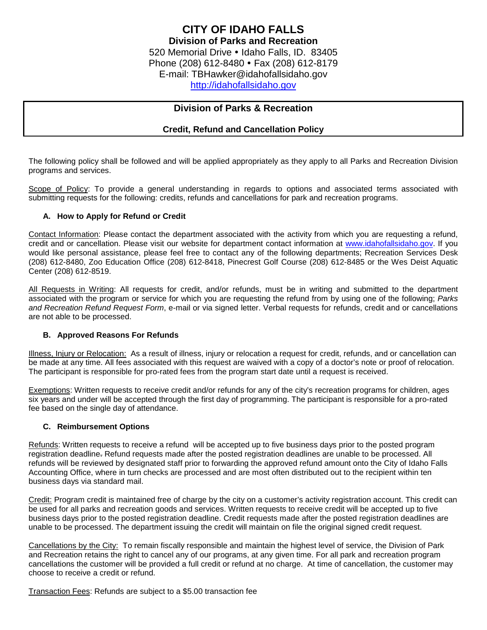# **Division of Parks & Recreation**

## **Credit, Refund and Cancellation Policy**

The following policy shall be followed and will be applied appropriately as they apply to all Parks and Recreation Division programs and services.

Scope of Policy: To provide a general understanding in regards to options and associated terms associated with submitting requests for the following: credits, refunds and cancellations for park and recreation programs.

#### **A. How to Apply for Refund or Credit**

Contact Information: Please contact the department associated with the activity from which you are requesting a refund, credit and or cancellation. Please visit our website for department contact information at [www.idahofallsidaho.gov.](http://www.idahofallsidaho.gov/) If you would like personal assistance, please feel free to contact any of the following departments; Recreation Services Desk (208) 612-8480, Zoo Education Office (208) 612-8418, Pinecrest Golf Course (208) 612-8485 or the Wes Deist Aquatic Center (208) 612-8519.

All Requests in Writing: All requests for credit, and/or refunds, must be in writing and submitted to the department associated with the program or service for which you are requesting the refund from by using one of the following; *Parks and Recreation Refund Request Form*, e-mail or via signed letter. Verbal requests for refunds, credit and or cancellations are not able to be processed.

### **B. Approved Reasons For Refunds**

Illness, Injury or Relocation: As a result of illness, injury or relocation a request for credit, refunds, and or cancellation can be made at any time. All fees associated with this request are waived with a copy of a doctor's note or proof of relocation. The participant is responsible for pro-rated fees from the program start date until a request is received.

Exemptions: Written requests to receive credit and/or refunds for any of the city's recreation programs for children, ages six years and under will be accepted through the first day of programming. The participant is responsible for a pro-rated fee based on the single day of attendance.

#### **C. Reimbursement Options**

Refunds: Written requests to receive a refund will be accepted up to five business days prior to the posted program registration deadline. Refund requests made after the posted registration deadlines are unable to be processed. All refunds will be reviewed by designated staff prior to forwarding the approved refund amount onto the City of Idaho Falls Accounting Office, where in turn checks are processed and are most often distributed out to the recipient within ten business days via standard mail.

Credit: Program credit is maintained free of charge by the city on a customer's activity registration account. This credit can be used for all parks and recreation goods and services. Written requests to receive credit will be accepted up to five business days prior to the posted registration deadline. Credit requests made after the posted registration deadlines are unable to be processed. The department issuing the credit will maintain on file the original signed credit request.

Cancellations by the City: To remain fiscally responsible and maintain the highest level of service, the Division of Park and Recreation retains the right to cancel any of our programs, at any given time. For all park and recreation program cancellations the customer will be provided a full credit or refund at no charge. At time of cancellation, the customer may choose to receive a credit or refund.

Transaction Fees: Refunds are subject to a \$5.00 transaction fee